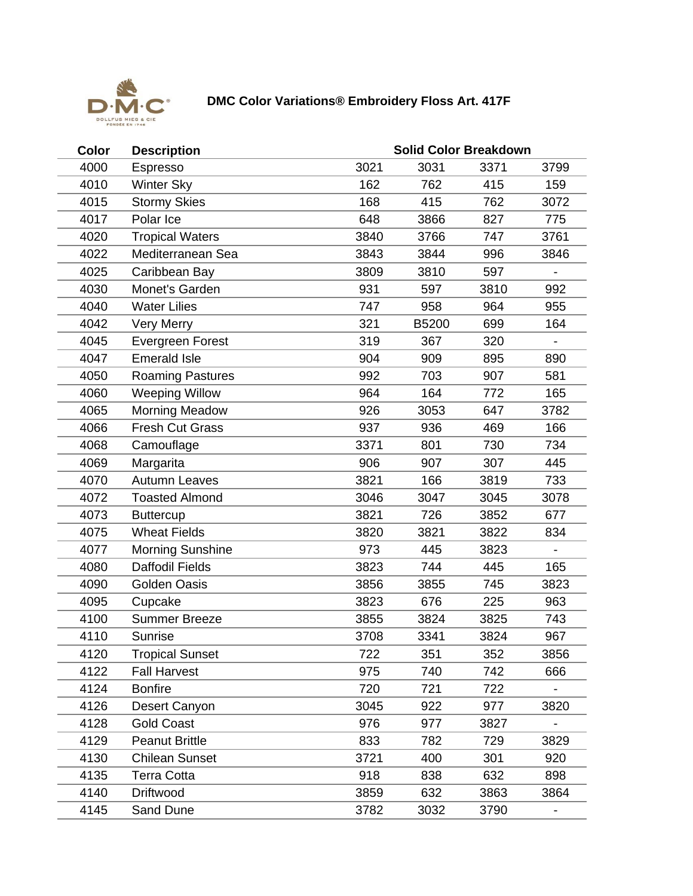

## **DMC Color Variations® Embroidery Floss Art. 417F**

| Color | <b>Description</b>      | <b>Solid Color Breakdown</b> |       |      |                          |  |  |
|-------|-------------------------|------------------------------|-------|------|--------------------------|--|--|
| 4000  | Espresso                | 3021                         | 3031  | 3371 | 3799                     |  |  |
| 4010  | <b>Winter Sky</b>       | 162                          | 762   | 415  | 159                      |  |  |
| 4015  | <b>Stormy Skies</b>     | 168                          | 415   | 762  | 3072                     |  |  |
| 4017  | Polar Ice               | 648                          | 3866  | 827  | 775                      |  |  |
| 4020  | <b>Tropical Waters</b>  | 3840                         | 3766  | 747  | 3761                     |  |  |
| 4022  | Mediterranean Sea       | 3843                         | 3844  | 996  | 3846                     |  |  |
| 4025  | Caribbean Bay           | 3809                         | 3810  | 597  |                          |  |  |
| 4030  | Monet's Garden          | 931                          | 597   | 3810 | 992                      |  |  |
| 4040  | <b>Water Lilies</b>     | 747                          | 958   | 964  | 955                      |  |  |
| 4042  | <b>Very Merry</b>       | 321                          | B5200 | 699  | 164                      |  |  |
| 4045  | <b>Evergreen Forest</b> | 319                          | 367   | 320  |                          |  |  |
| 4047  | <b>Emerald Isle</b>     | 904                          | 909   | 895  | 890                      |  |  |
| 4050  | <b>Roaming Pastures</b> | 992                          | 703   | 907  | 581                      |  |  |
| 4060  | <b>Weeping Willow</b>   | 964                          | 164   | 772  | 165                      |  |  |
| 4065  | <b>Morning Meadow</b>   | 926                          | 3053  | 647  | 3782                     |  |  |
| 4066  | <b>Fresh Cut Grass</b>  | 937                          | 936   | 469  | 166                      |  |  |
| 4068  | Camouflage              | 3371                         | 801   | 730  | 734                      |  |  |
| 4069  | Margarita               | 906                          | 907   | 307  | 445                      |  |  |
| 4070  | <b>Autumn Leaves</b>    | 3821                         | 166   | 3819 | 733                      |  |  |
| 4072  | <b>Toasted Almond</b>   | 3046                         | 3047  | 3045 | 3078                     |  |  |
| 4073  | <b>Buttercup</b>        | 3821                         | 726   | 3852 | 677                      |  |  |
| 4075  | <b>Wheat Fields</b>     | 3820                         | 3821  | 3822 | 834                      |  |  |
| 4077  | <b>Morning Sunshine</b> | 973                          | 445   | 3823 |                          |  |  |
| 4080  | <b>Daffodil Fields</b>  | 3823                         | 744   | 445  | 165                      |  |  |
| 4090  | <b>Golden Oasis</b>     | 3856                         | 3855  | 745  | 3823                     |  |  |
| 4095  | Cupcake                 | 3823                         | 676   | 225  | 963                      |  |  |
| 4100  | <b>Summer Breeze</b>    | 3855                         | 3824  | 3825 | 743                      |  |  |
| 4110  | <b>Sunrise</b>          | 3708                         | 3341  | 3824 | 967                      |  |  |
| 4120  | Tropical Sunset         | 722                          | 351   | 352  | 3856                     |  |  |
| 4122  | <b>Fall Harvest</b>     | 975                          | 740   | 742  | 666                      |  |  |
| 4124  | <b>Bonfire</b>          | 720                          | 721   | 722  | $\blacksquare$           |  |  |
| 4126  | Desert Canyon           | 3045                         | 922   | 977  | 3820                     |  |  |
| 4128  | <b>Gold Coast</b>       | 976                          | 977   | 3827 |                          |  |  |
| 4129  | <b>Peanut Brittle</b>   | 833                          | 782   | 729  | 3829                     |  |  |
| 4130  | <b>Chilean Sunset</b>   | 3721                         | 400   | 301  | 920                      |  |  |
| 4135  | <b>Terra Cotta</b>      | 918                          | 838   | 632  | 898                      |  |  |
| 4140  | Driftwood               | 3859                         | 632   | 3863 | 3864                     |  |  |
| 4145  | Sand Dune               | 3782                         | 3032  | 3790 | $\overline{\phantom{a}}$ |  |  |